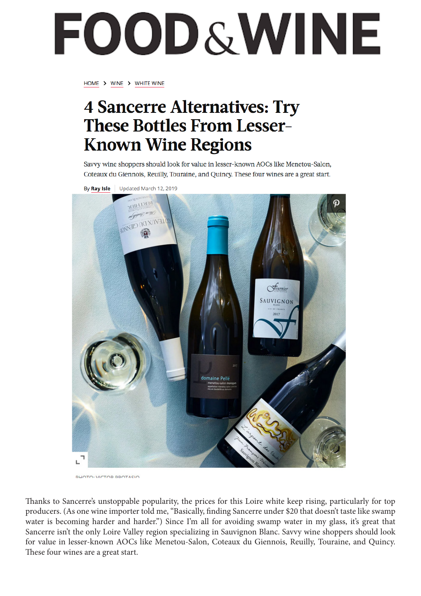# FOOD&WINE

HOME > WINE > WHITE WINE

### **4 Sancerre Alternatives: Try These Bottles From Lesser-Known Wine Regions**

Savvy wine shoppers should look for value in lesser-known AOCs like Menetou-Salon, Coteaux du Giennois, Reuilly, Touraine, and Quincy. These four wines are a great start.



**BUOTO: MCTOR BROTACIO** 

Thanks to Sancerre's unstoppable popularity, the prices for this Loire white keep rising, particularly for top producers. (As one wine importer told me, "Basically, finding Sancerre under \$20 that doesn't taste like swamp water is becoming harder and harder.") Since I'm all for avoiding swamp water in my glass, it's great that Sancerre isn't the only Loire Valley region specializing in Sauvignon Blanc. Savvy wine shoppers should look for value in lesser-known AOCs like Menetou-Salon, Coteaux du Giennois, Reuilly, Touraine, and Quincy. These four wines are a great start.